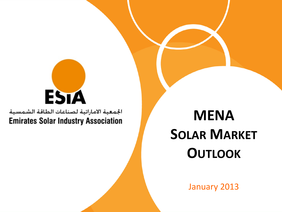# ESTA

الجمعية الاماراتية لصناعات الطاقة الشمسية **Emirates Solar Industry Association** 

## **MENA SOLAR MARKET OUTLOOK**

January 2013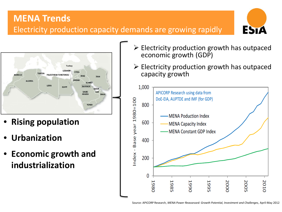### **MENA Trends** Electricity production capacity demands are growing rapidly





- **Rising population**
- **Urbanization**
- **Economic growth and industrialization**
- $\triangleright$  Electricity production growth has outpaced economic growth (GDP)
- $\triangleright$  Electricity production growth has outpaced capacity growth

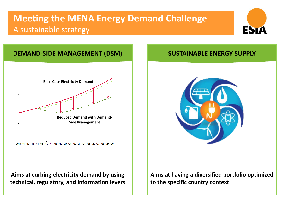## **Meeting the MENA Energy Demand Challenge** A sustainable strategy





**Aims at curbing electricity demand by using technical, regulatory, and information levers**



**Aims at having a diversified portfolio optimized to the specific country context**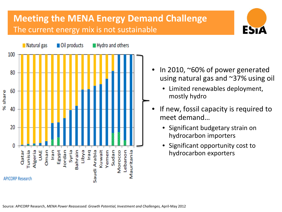## **Meeting the MENA Energy Demand Challenge** The current energy mix is not sustainable



In 2010, ~60% of power generated using natural gas and ~37% using oil

ESTA

- Limited renewables deployment, mostly hydro
- If new, fossil capacity is required to meet demand…
	- Significant budgetary strain on hydrocarbon importers
	- Significant opportunity cost to hydrocarbon exporters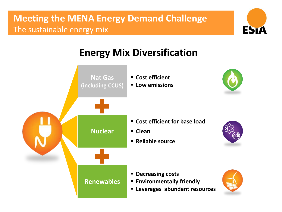## **Meeting the MENA Energy Demand Challenge** The sustainable energy mix



## **Energy Mix Diversification**

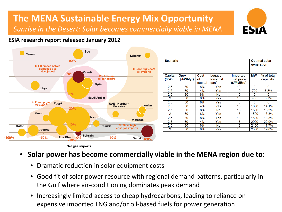## **The MENA Sustainable Energy Mix Opportunity** *Sunrise in the Desert: Solar becomes commercially viable in MENA*



. . .

#### **ESIA research report released January 2012**



| scenario                |                            |                       |                                        |                                             | Optimal solar<br>qeneration |                            |
|-------------------------|----------------------------|-----------------------|----------------------------------------|---------------------------------------------|-----------------------------|----------------------------|
| <b>Capital</b><br>(S/W) | <b>Opex</b><br>(\$/kWh/vr) | Cost<br>οf<br>capital | Legacy<br>low-cost<br>gas <sup>8</sup> | <b>Imported</b><br>fuel price<br>(\$/MMBtu) | <b>MW</b>                   | % of total<br>$capacity^9$ |
| 2.5                     | 30                         | 8%                    | Yes                                    | 10                                          | 0                           | 0                          |
| 2.5                     | 30                         | 4%                    | Yes                                    | 10                                          | 700                         | 6.3%                       |
| 2.5                     | 30                         | 8%                    | <b>No</b>                              | 10                                          | 0                           | 0                          |
| $\overline{2}$          | 30                         | 8%                    | Yes                                    | 10                                          | 400                         | 3.7%                       |
| 2.5                     | 30                         | 8%                    | Yes                                    | 13                                          | 0                           | Ω                          |
| 2.5                     | 30                         | 4%                    | Yes                                    | 13                                          | 1600                        | 14.1%                      |
| 2.5                     | 30                         | 8%                    | <b>No</b>                              | 13                                          | 1500                        | 13.3%                      |
| 2                       | 30                         | 8%                    | Yes                                    | 13                                          | 1500                        | 13.3%                      |
| $\overline{2.5}$        | 30                         | 8%                    | Yes                                    | 16                                          | 1500                        | 13.3%                      |
| 2.5                     | 30                         | 4%                    | Yes                                    | 16                                          | 2900                        | 22.9%                      |
| 2.5                     | 30                         | 8%                    | No                                     | 16                                          | 2100                        | 17.7%                      |
| $\overline{2}$          | 30                         | 8%                    | Yes                                    | 16                                          | 2300                        | 19.0%                      |

#### • **Solar power has become commercially viable in the MENA region due to:**

- Dramatic reduction in solar equipment costs
- Good fit of solar power resource with regional demand patterns, particularly in the Gulf where air-conditioning dominates peak demand
- Increasingly limited access to cheap hydrocarbons, leading to reliance on expensive imported LNG and/or oil-based fuels for power generation